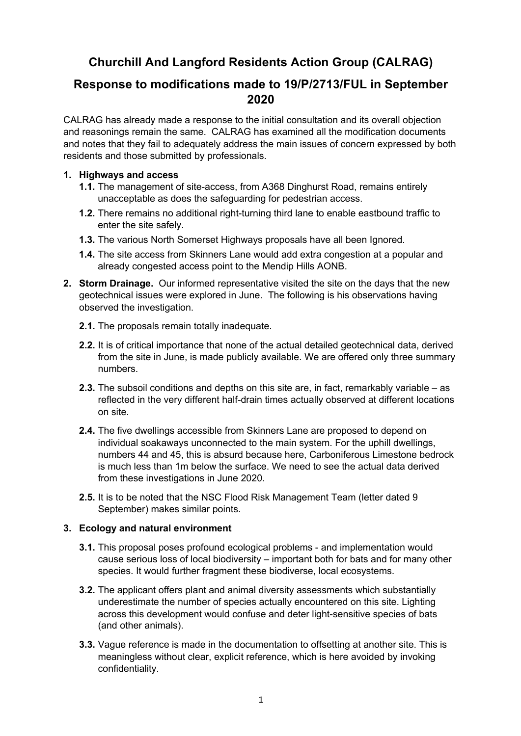# **Churchill And Langford Residents Action Group (CALRAG)**

## **Response to modifications made to 19/P/2713/FUL in September 2020**

CALRAG has already made a response to the initial consultation and its overall objection and reasonings remain the same. CALRAG has examined all the modification documents and notes that they fail to adequately address the main issues of concern expressed by both residents and those submitted by professionals.

## **1. Highways and access**

- **1.1.** The management of site-access, from A368 Dinghurst Road, remains entirely unacceptable as does the safeguarding for pedestrian access.
- **1.2.** There remains no additional right-turning third lane to enable eastbound traffic to enter the site safely.
- **1.3.** The various North Somerset Highways proposals have all been Ignored.
- **1.4.** The site access from Skinners Lane would add extra congestion at a popular and already congested access point to the Mendip Hills AONB.
- **2. Storm Drainage.** Our informed representative visited the site on the days that the new geotechnical issues were explored in June. The following is his observations having observed the investigation.
	- **2.1.** The proposals remain totally inadequate.
	- **2.2.** It is of critical importance that none of the actual detailed geotechnical data, derived from the site in June, is made publicly available. We are offered only three summary numbers.
	- **2.3.** The subsoil conditions and depths on this site are, in fact, remarkably variable as reflected in the very different half-drain times actually observed at different locations on site.
	- **2.4.** The five dwellings accessible from Skinners Lane are proposed to depend on individual soakaways unconnected to the main system. For the uphill dwellings, numbers 44 and 45, this is absurd because here, Carboniferous Limestone bedrock is much less than 1m below the surface. We need to see the actual data derived from these investigations in June 2020.
	- **2.5.** It is to be noted that the NSC Flood Risk Management Team (letter dated 9 September) makes similar points.

## **3. Ecology and natural environment**

- **3.1.** This proposal poses profound ecological problems and implementation would cause serious loss of local biodiversity – important both for bats and for many other species. It would further fragment these biodiverse, local ecosystems.
- **3.2.** The applicant offers plant and animal diversity assessments which substantially underestimate the number of species actually encountered on this site. Lighting across this development would confuse and deter light-sensitive species of bats (and other animals).
- **3.3.** Vague reference is made in the documentation to offsetting at another site. This is meaningless without clear, explicit reference, which is here avoided by invoking confidentiality.